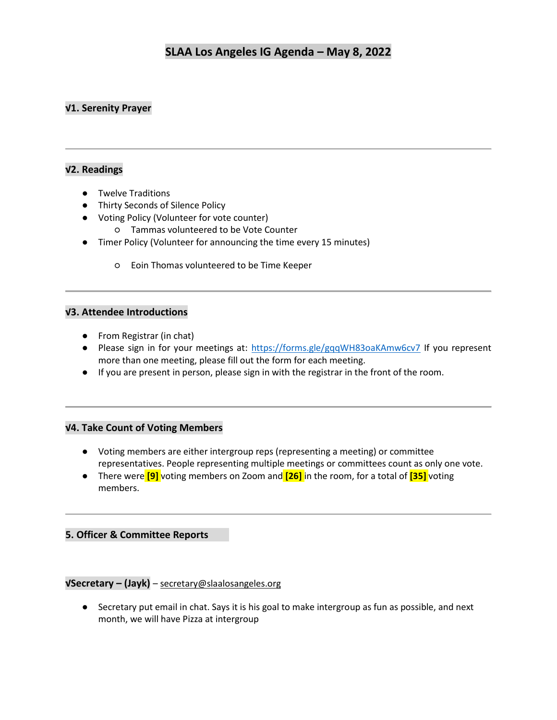## **√1. Serenity Prayer**

### **√2. Readings**

- Twelve Traditions
- Thirty Seconds of Silence Policy
- Voting Policy (Volunteer for vote counter)
	- Tammas volunteered to be Vote Counter
- Timer Policy (Volunteer for announcing the time every 15 minutes)
	- Eoin Thomas volunteered to be Time Keeper

#### **√3. Attendee Introductions**

- From Registrar (in chat)
- Please sign in for your meetings at:<https://forms.gle/gqqWH83oaKAmw6cv7> If you represent more than one meeting, please fill out the form for each meeting.
- If you are present in person, please sign in with the registrar in the front of the room.

#### **√4. Take Count of Voting Members**

- Voting members are either intergroup reps (representing a meeting) or committee representatives. People representing multiple meetings or committees count as only one vote.
- There were **[9]** voting members on Zoom and **[26]** in the room, for a total of **[35]** voting members.

### **5. Officer & Committee Reports**

### **√Secretary – (Jayk)** – [secretary@slaalosangeles.org](mailto:secretary@slaalosangeles.org)

● Secretary put email in chat. Says it is his goal to make intergroup as fun as possible, and next month, we will have Pizza at intergroup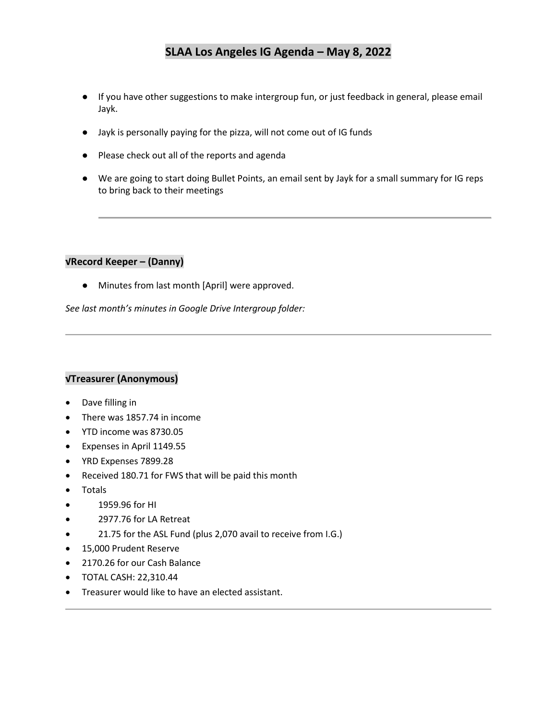- If you have other suggestions to make intergroup fun, or just feedback in general, please email Jayk.
- Jayk is personally paying for the pizza, will not come out of IG funds
- Please check out all of the reports and agenda
- We are going to start doing Bullet Points, an email sent by Jayk for a small summary for IG reps to bring back to their meetings

#### **√Record Keeper – (Danny)**

● Minutes from last month [April] were approved.

*See last month's minutes in Google Drive Intergroup folder:* 

### **√Treasurer (Anonymous)**

- Dave filling in
- There was 1857.74 in income
- YTD income was 8730.05
- Expenses in April 1149.55
- YRD Expenses 7899.28
- Received 180.71 for FWS that will be paid this month
- Totals
- 1959.96 for HI
- 2977.76 for LA Retreat
- 21.75 for the ASL Fund (plus 2,070 avail to receive from I.G.)
- 15,000 Prudent Reserve
- 2170.26 for our Cash Balance
- TOTAL CASH: 22,310.44
- Treasurer would like to have an elected assistant.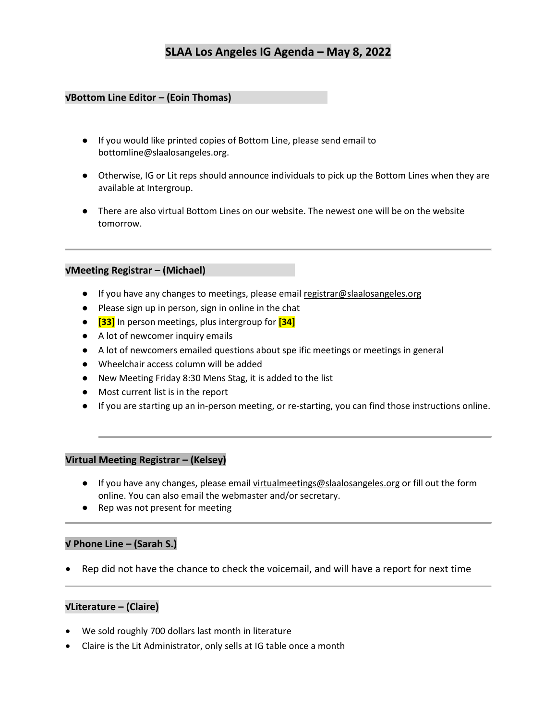#### **√Bottom Line Editor – (Eoin Thomas)**

- If you would like printed copies of Bottom Line, please send email to bottomline@slaalosangeles.org.
- Otherwise, IG or Lit reps should announce individuals to pick up the Bottom Lines when they are available at Intergroup.
- There are also virtual Bottom Lines on our website. The newest one will be on the website tomorrow.

#### **√Meeting Registrar – (Michael)**

- If you have any changes to meetings, please email [registrar@slaalosangeles.org](mailto:registrar@slaalosangeles.org)
- Please sign up in person, sign in online in the chat
- **[33]** In person meetings, plus intergroup for **[34]**
- A lot of newcomer inquiry emails
- A lot of newcomers emailed questions about spe ific meetings or meetings in general
- Wheelchair access column will be added
- New Meeting Friday 8:30 Mens Stag, it is added to the list
- Most current list is in the report
- If you are starting up an in-person meeting, or re-starting, you can find those instructions online.

#### **Virtual Meeting Registrar – (Kelsey)**

- If you have any changes, please email [virtualmeetings@slaalosangeles.org](mailto:virtualmeetings@slaalosangeles.org) or fill out the form online. You can also email the webmaster and/or secretary.
- Rep was not present for meeting

#### **√ Phone Line – (Sarah S.)**

• Rep did not have the chance to check the voicemail, and will have a report for next time

#### **√Literature – (Claire)**

- We sold roughly 700 dollars last month in literature
- Claire is the Lit Administrator, only sells at IG table once a month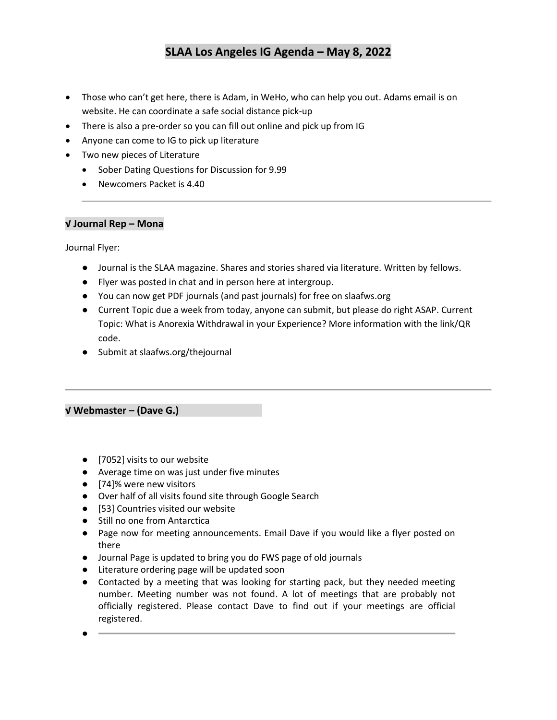- Those who can't get here, there is Adam, in WeHo, who can help you out. Adams email is on website. He can coordinate a safe social distance pick-up
- There is also a pre-order so you can fill out online and pick up from IG
- Anyone can come to IG to pick up literature
- Two new pieces of Literature
	- Sober Dating Questions for Discussion for 9.99
	- Newcomers Packet is 4.40

#### **√ Journal Rep – Mona**

Journal Flyer:

- Journal is the SLAA magazine. Shares and stories shared via literature. Written by fellows.
- Flyer was posted in chat and in person here at intergroup.
- You can now get PDF journals (and past journals) for free on slaafws.org
- Current Topic due a week from today, anyone can submit, but please do right ASAP. Current Topic: What is Anorexia Withdrawal in your Experience? More information with the link/QR code.
- Submit at slaafws.org/thejournal

### **√ Webmaster – (Dave G.)**

●

- [7052] visits to our website
- Average time on was just under five minutes
- [74]% were new visitors
- Over half of all visits found site through Google Search
- [53] Countries visited our website
- Still no one from Antarctica
- Page now for meeting announcements. Email Dave if you would like a flyer posted on there
- Journal Page is updated to bring you do FWS page of old journals
- Literature ordering page will be updated soon
- Contacted by a meeting that was looking for starting pack, but they needed meeting number. Meeting number was not found. A lot of meetings that are probably not officially registered. Please contact Dave to find out if your meetings are official registered.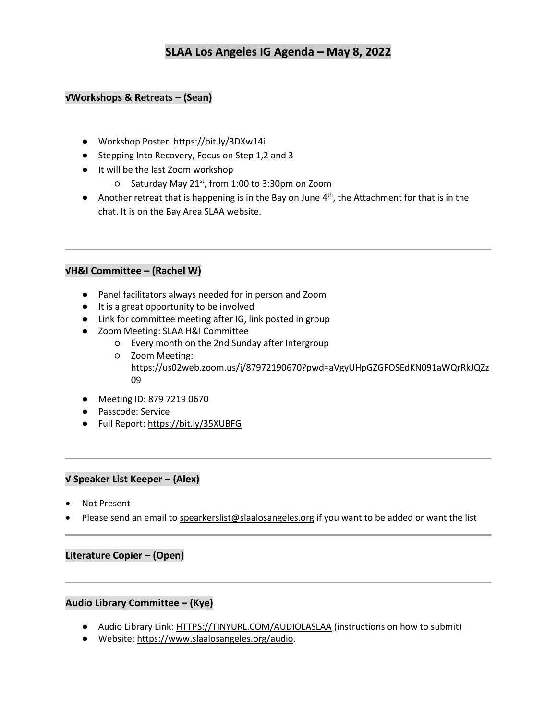#### **√Workshops & Retreats – (Sean)**

- Workshop Poster:<https://bit.ly/3DXw14i>
- Stepping Into Recovery, Focus on Step 1,2 and 3
- It will be the last Zoom workshop
	- Saturday May 21st, from 1:00 to 3:30pm on Zoom
- Another retreat that is happening is in the Bay on June 4<sup>th</sup>, the Attachment for that is in the chat. It is on the Bay Area SLAA website.

#### **√H&I Committee – (Rachel W)**

- Panel facilitators always needed for in person and Zoom
- It is a great opportunity to be involved
- Link for committee meeting after IG, link posted in group
- Zoom Meeting: SLAA H&I Committee
	- Every month on the 2nd Sunday after Intergroup
	- Zoom Meeting: https://us02web.zoom.us/j/87972190670?pwd=aVgyUHpGZGFOSEdKN091aWQrRkJQZz 09
- Meeting ID: 879 7219 0670
- Passcode: Service
- Full Report:<https://bit.ly/35XUBFG>

#### **√ Speaker List Keeper – (Alex)**

- Not Present
- Please send an email t[o spearkerslist@slaalosangeles.org](mailto:spearkerslist@slaalosangeles.org) if you want to be added or want the list

#### **Literature Copier – (Open)**

#### **Audio Library Committee – (Kye)**

- Audio Library Link: [HTTPS://TINYURL.COM/AUDIOLASLAA](https://tinyurl.com/AUDIOLASLAA) (instructions on how to submit)
- Website[: https://www.slaalosangeles.org/audio.](https://www.slaalosangeles.org/audio)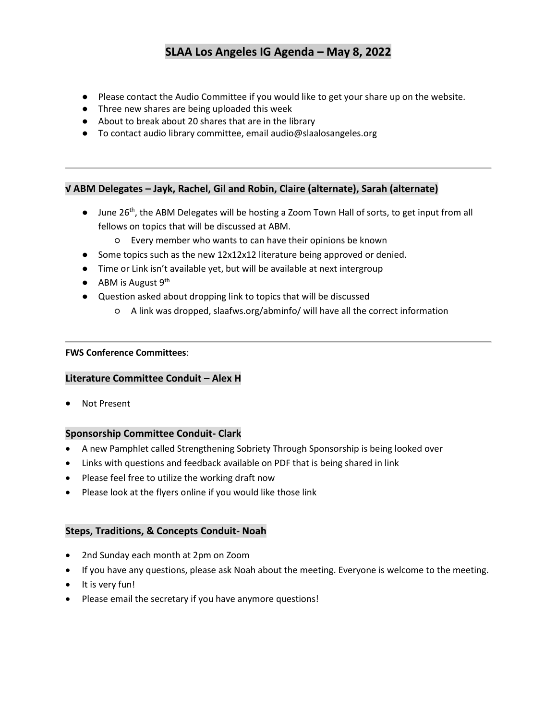- Please contact the Audio Committee if you would like to get your share up on the website.
- Three new shares are being uploaded this week
- About to break about 20 shares that are in the library
- To contact audio library committee, emai[l audio@slaalosangeles.org](mailto:audio@slaalosangeles.org)

#### **√ ABM Delegates – Jayk, Rachel, Gil and Robin, Claire (alternate), Sarah (alternate)**

- June 26<sup>th</sup>, the ABM Delegates will be hosting a Zoom Town Hall of sorts, to get input from all fellows on topics that will be discussed at ABM.
	- Every member who wants to can have their opinions be known
- Some topics such as the new 12x12x12 literature being approved or denied.
- Time or Link isn't available yet, but will be available at next intergroup
- $\bullet$  ABM is August 9<sup>th</sup>
- Question asked about dropping link to topics that will be discussed
	- A link was dropped, slaafws.org/abminfo/ will have all the correct information

#### **FWS Conference Committees**:

#### **Literature Committee Conduit – Alex H**

• Not Present

#### **Sponsorship Committee Conduit- Clark**

- A new Pamphlet called Strengthening Sobriety Through Sponsorship is being looked over
- Links with questions and feedback available on PDF that is being shared in link
- Please feel free to utilize the working draft now
- Please look at the flyers online if you would like those link

#### **Steps, Traditions, & Concepts Conduit- Noah**

- 2nd Sunday each month at 2pm on Zoom
- If you have any questions, please ask Noah about the meeting. Everyone is welcome to the meeting.
- It is very fun!
- Please email the secretary if you have anymore questions!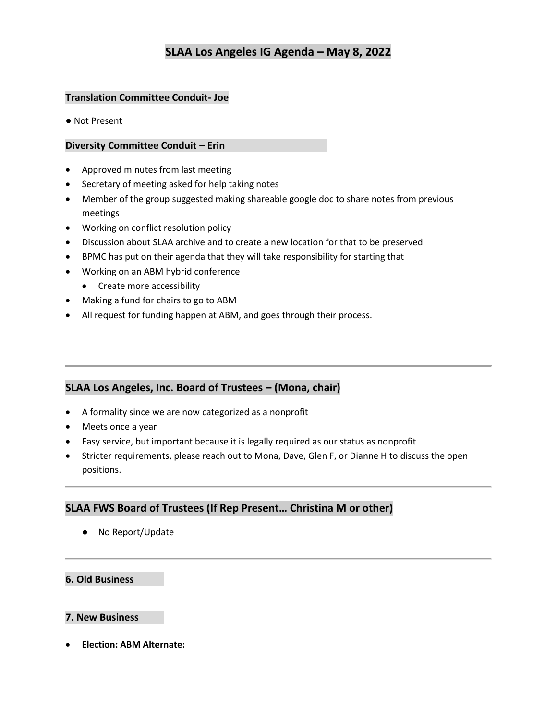### **Translation Committee Conduit- Joe**

● Not Present

#### **Diversity Committee Conduit – Erin**

- Approved minutes from last meeting
- Secretary of meeting asked for help taking notes
- Member of the group suggested making shareable google doc to share notes from previous meetings
- Working on conflict resolution policy
- Discussion about SLAA archive and to create a new location for that to be preserved
- BPMC has put on their agenda that they will take responsibility for starting that
- Working on an ABM hybrid conference
	- Create more accessibility
- Making a fund for chairs to go to ABM
- All request for funding happen at ABM, and goes through their process.

### **SLAA Los Angeles, Inc. Board of Trustees – (Mona, chair)**

- A formality since we are now categorized as a nonprofit
- Meets once a year
- Easy service, but important because it is legally required as our status as nonprofit
- Stricter requirements, please reach out to Mona, Dave, Glen F, or Dianne H to discuss the open positions.

### **SLAA FWS Board of Trustees (If Rep Present… Christina M or other)**

● No Report/Update

#### **6. Old Business**

#### **7. New Business**

• **Election: ABM Alternate:**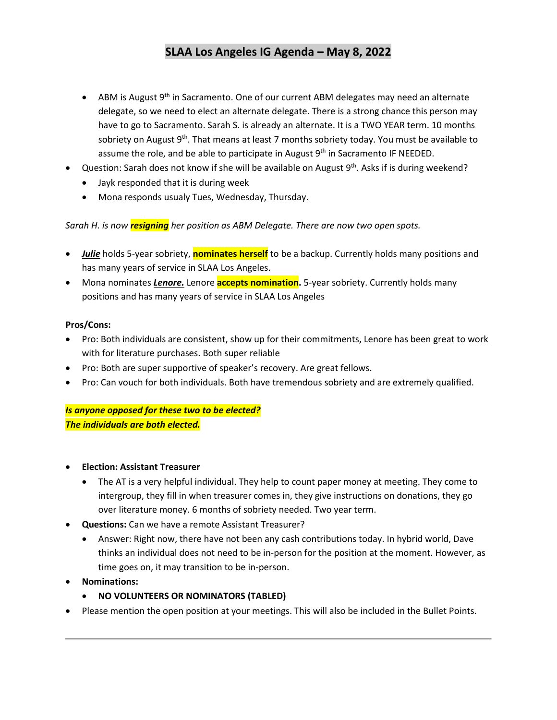- ABM is August  $9<sup>th</sup>$  in Sacramento. One of our current ABM delegates may need an alternate delegate, so we need to elect an alternate delegate. There is a strong chance this person may have to go to Sacramento. Sarah S. is already an alternate. It is a TWO YEAR term. 10 months sobriety on August 9<sup>th</sup>. That means at least 7 months sobriety today. You must be available to assume the role, and be able to participate in August  $9<sup>th</sup>$  in Sacramento IF NEEDED.
- Question: Sarah does not know if she will be available on August 9<sup>th</sup>. Asks if is during weekend?
	- Jayk responded that it is during week
	- Mona responds usualy Tues, Wednesday, Thursday.

*Sarah H. is now resigning her position as ABM Delegate. There are now two open spots.*

- *Julie* holds 5-year sobriety, **nominates herself** to be a backup. Currently holds many positions and has many years of service in SLAA Los Angeles.
- Mona nominates *Lenore.* Lenore **accepts nomination.** 5-year sobriety. Currently holds many positions and has many years of service in SLAA Los Angeles

#### **Pros/Cons:**

- Pro: Both individuals are consistent, show up for their commitments, Lenore has been great to work with for literature purchases. Both super reliable
- Pro: Both are super supportive of speaker's recovery. Are great fellows.
- Pro: Can vouch for both individuals. Both have tremendous sobriety and are extremely qualified.

*Is anyone opposed for these two to be elected? The individuals are both elected.*

- **Election: Assistant Treasurer**
	- The AT is a very helpful individual. They help to count paper money at meeting. They come to intergroup, they fill in when treasurer comes in, they give instructions on donations, they go over literature money. 6 months of sobriety needed. Two year term.
- **Questions:** Can we have a remote Assistant Treasurer?
	- Answer: Right now, there have not been any cash contributions today. In hybrid world, Dave thinks an individual does not need to be in-person for the position at the moment. However, as time goes on, it may transition to be in-person.
- **Nominations:**
	- **NO VOLUNTEERS OR NOMINATORS (TABLED)**
- Please mention the open position at your meetings. This will also be included in the Bullet Points.